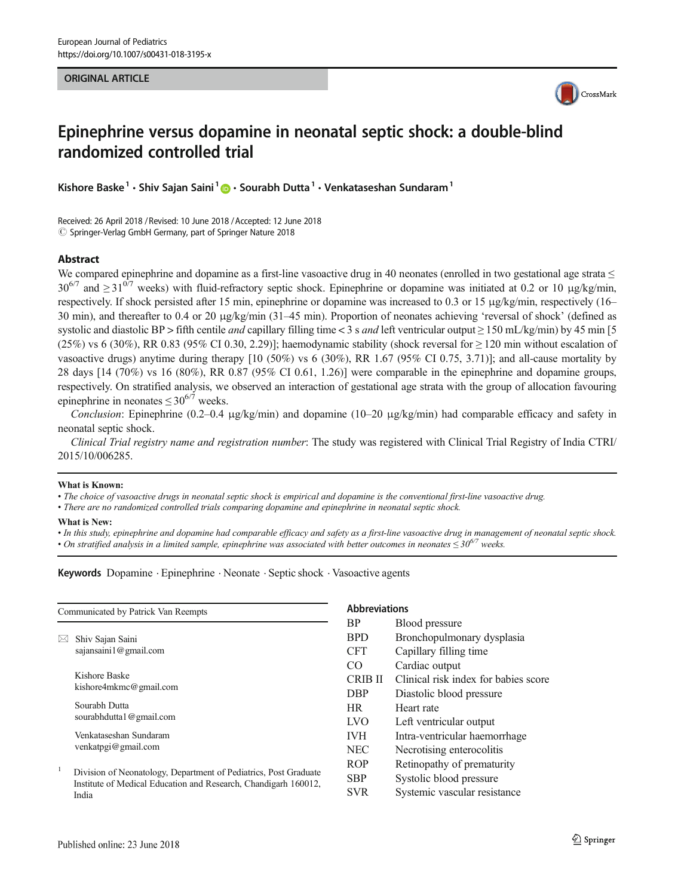#### ORIGINAL ARTICLE



# Epinephrine versus dopamine in neonatal septic shock: a double-blind randomized controlled trial

Kishore Baske<sup>1</sup> • Shiv Saian Saini<sup>1</sup>  $\bullet$  • Sourabh Dutta<sup>1</sup> • Venkataseshan Sundaram<sup>1</sup>

Received: 26 April 2018 / Revised: 10 June 2018 /Accepted: 12 June 2018  $\circled{c}$  Springer-Verlag GmbH Germany, part of Springer Nature 2018

#### Abstract

We compared epinephrine and dopamine as a first-line vasoactive drug in 40 neonates (enrolled in two gestational age strata  $\leq$  $30^{6/7}$  and  $\geq 31^{0/7}$  weeks) with fluid-refractory septic shock. Epinephrine or dopamine was initiated at 0.2 or 10 µg/kg/min, respectively. If shock persisted after 15 min, epinephrine or dopamine was increased to 0.3 or 15 μg/kg/min, respectively (16– 30 min), and thereafter to 0.4 or 20 μg/kg/min (31–45 min). Proportion of neonates achieving 'reversal of shock' (defined as systolic and diastolic BP > fifth centile *and* capillary filling time < 3 s *and* left ventricular output  $\geq$  150 mL/kg/min) by 45 min [5]  $(25%)$  vs 6 (30%), RR 0.83 (95% CI 0.30, 2.29)]; haemodynamic stability (shock reversal for  $\geq 120$  min without escalation of vasoactive drugs) anytime during therapy [10 (50%) vs 6 (30%), RR 1.67 (95% CI 0.75, 3.71)]; and all-cause mortality by 28 days [14 (70%) vs 16 (80%), RR 0.87 (95% CI 0.61, 1.26)] were comparable in the epinephrine and dopamine groups, respectively. On stratified analysis, we observed an interaction of gestational age strata with the group of allocation favouring epinephrine in neonates  $\leq 30^{6/7}$  weeks.

Conclusion: Epinephrine (0.2–0.4 μg/kg/min) and dopamine (10–20 μg/kg/min) had comparable efficacy and safety in neonatal septic shock.

Clinical Trial registry name and registration number: The study was registered with Clinical Trial Registry of India CTRI/ 2015/10/006285.

#### What is Known:

• The choice of vasoactive drugs in neonatal septic shock is empirical and dopamine is the conventional first-line vasoactive drug.

• There are no randomized controlled trials comparing dopamine and epinephrine in neonatal septic shock.

#### What is New:

• In this study, epinephrine and dopamine had comparable efficacy and safety as a first-line vasoactive drug in management of neonatal septic shock. • On stratified analysis in a limited sample, epinephrine was associated with better outcomes in neonates  $\leq 30^{67}$  weeks.

Keywords Dopamine . Epinephrine . Neonate . Septic shock . Vasoactive agents

|   | Communicated by Patrick Van Reempts                                                                                                 |
|---|-------------------------------------------------------------------------------------------------------------------------------------|
|   | Shiv Sajan Saini<br>sajansaini1@gmail.com                                                                                           |
|   | Kishore Baske<br>kishore4mkmc@gmail.com                                                                                             |
|   | Sourabh Dutta<br>sourabhdutta1@gmail.com                                                                                            |
|   | Venkataseshan Sundaram<br>venkatpgi@gmail.com                                                                                       |
| 1 | Division of Neonatology, Department of Pediatrics, Post Graduate<br>Institute of Medical Education and Research, Chandigarh 160012, |

**bbreviations** 

| <b>BP</b>  | <b>Blood</b> pressure                |
|------------|--------------------------------------|
| <b>BPD</b> | Bronchopulmonary dysplasia           |
| CFT        | Capillary filling time               |
| CO         | Cardiac output                       |
| CRIB II    | Clinical risk index for babies score |
| <b>DBP</b> | Diastolic blood pressure             |
| HR.        | Heart rate                           |
| <b>LVO</b> | Left ventricular output              |
| <b>IVH</b> | Intra-ventricular haemorrhage        |
| <b>NEC</b> | Necrotising enterocolitis            |
| <b>ROP</b> | Retinopathy of prematurity           |
| SBP        | Systolic blood pressure              |
| SVR        | Systemic vascular resistance         |

India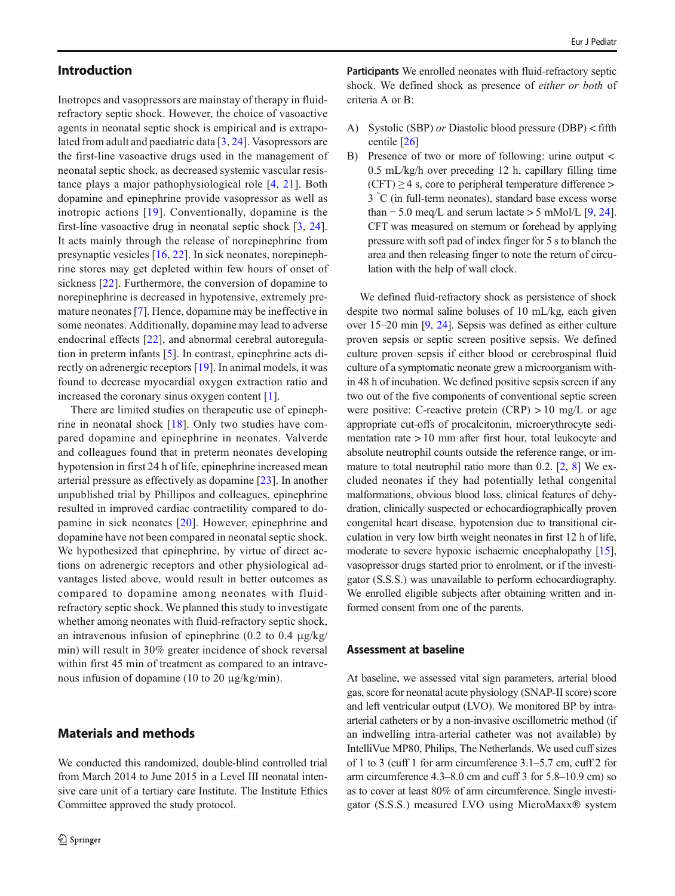## Introduction

Inotropes and vasopressors are mainstay of therapy in fluidrefractory septic shock. However, the choice of vasoactive agents in neonatal septic shock is empirical and is extrapolated from adult and paediatric data [\[3](#page-7-0), [24\]](#page-7-0). Vasopressors are the first-line vasoactive drugs used in the management of neonatal septic shock, as decreased systemic vascular resistance plays a major pathophysiological role [[4,](#page-7-0) [21](#page-7-0)]. Both dopamine and epinephrine provide vasopressor as well as inotropic actions [[19](#page-7-0)]. Conventionally, dopamine is the first-line vasoactive drug in neonatal septic shock [\[3](#page-7-0), [24](#page-7-0)]. It acts mainly through the release of norepinephrine from presynaptic vesicles [\[16,](#page-7-0) [22\]](#page-7-0). In sick neonates, norepinephrine stores may get depleted within few hours of onset of sickness [[22](#page-7-0)]. Furthermore, the conversion of dopamine to norepinephrine is decreased in hypotensive, extremely premature neonates [\[7](#page-7-0)]. Hence, dopamine may be ineffective in some neonates. Additionally, dopamine may lead to adverse endocrinal effects [[22\]](#page-7-0), and abnormal cerebral autoregulation in preterm infants [\[5](#page-7-0)]. In contrast, epinephrine acts directly on adrenergic receptors [[19\]](#page-7-0). In animal models, it was found to decrease myocardial oxygen extraction ratio and increased the coronary sinus oxygen content [\[1](#page-7-0)].

There are limited studies on therapeutic use of epinephrine in neonatal shock  $[18]$  $[18]$  $[18]$ . Only two studies have compared dopamine and epinephrine in neonates. Valverde and colleagues found that in preterm neonates developing hypotension in first 24 h of life, epinephrine increased mean arterial pressure as effectively as dopamine [[23](#page-7-0)]. In another unpublished trial by Phillipos and colleagues, epinephrine resulted in improved cardiac contractility compared to dopamine in sick neonates [\[20\]](#page-7-0). However, epinephrine and dopamine have not been compared in neonatal septic shock. We hypothesized that epinephrine, by virtue of direct actions on adrenergic receptors and other physiological advantages listed above, would result in better outcomes as compared to dopamine among neonates with fluidrefractory septic shock. We planned this study to investigate whether among neonates with fluid-refractory septic shock, an intravenous infusion of epinephrine (0.2 to 0.4 μg/kg/ min) will result in 30% greater incidence of shock reversal within first 45 min of treatment as compared to an intravenous infusion of dopamine (10 to 20 μg/kg/min).

## Materials and methods

We conducted this randomized, double-blind controlled trial from March 2014 to June 2015 in a Level III neonatal intensive care unit of a tertiary care Institute. The Institute Ethics Committee approved the study protocol.

Participants We enrolled neonates with fluid-refractory septic shock. We defined shock as presence of either or both of criteria A or B:

- A) Systolic (SBP) or Diastolic blood pressure (DBP) < fifth centile [\[26](#page-7-0)]
- B) Presence of two or more of following: urine output < 0.5 mL/kg/h over preceding 12 h, capillary filling time  $(CFT) \geq 4$  s, core to peripheral temperature difference > 3 ° C (in full-term neonates), standard base excess worse than  $-5.0$  meq/L and serum lactate > 5 mMol/L [[9,](#page-7-0) [24\]](#page-7-0). CFT was measured on sternum or forehead by applying pressure with soft pad of index finger for 5 s to blanch the area and then releasing finger to note the return of circulation with the help of wall clock.

We defined fluid-refractory shock as persistence of shock despite two normal saline boluses of 10 mL/kg, each given over 15–20 min [\[9,](#page-7-0) [24](#page-7-0)]. Sepsis was defined as either culture proven sepsis or septic screen positive sepsis. We defined culture proven sepsis if either blood or cerebrospinal fluid culture of a symptomatic neonate grew a microorganism within 48 h of incubation. We defined positive sepsis screen if any two out of the five components of conventional septic screen were positive: C-reactive protein  $(CRP) > 10$  mg/L or age appropriate cut-offs of procalcitonin, microerythrocyte sedimentation rate > 10 mm after first hour, total leukocyte and absolute neutrophil counts outside the reference range, or im-mature to total neutrophil ratio more than 0.2. [\[2](#page-7-0), [8\]](#page-7-0) We excluded neonates if they had potentially lethal congenital malformations, obvious blood loss, clinical features of dehydration, clinically suspected or echocardiographically proven congenital heart disease, hypotension due to transitional circulation in very low birth weight neonates in first 12 h of life, moderate to severe hypoxic ischaemic encephalopathy [[15\]](#page-7-0), vasopressor drugs started prior to enrolment, or if the investigator (S.S.S.) was unavailable to perform echocardiography. We enrolled eligible subjects after obtaining written and informed consent from one of the parents.

## Assessment at baseline

At baseline, we assessed vital sign parameters, arterial blood gas, score for neonatal acute physiology (SNAP-II score) score and left ventricular output (LVO). We monitored BP by intraarterial catheters or by a non-invasive oscillometric method (if an indwelling intra-arterial catheter was not available) by IntelliVue MP80, Philips, The Netherlands. We used cuff sizes of 1 to 3 (cuff 1 for arm circumference 3.1–5.7 cm, cuff 2 for arm circumference 4.3–8.0 cm and cuff 3 for 5.8–10.9 cm) so as to cover at least 80% of arm circumference. Single investigator (S.S.S.) measured LVO using MicroMaxx® system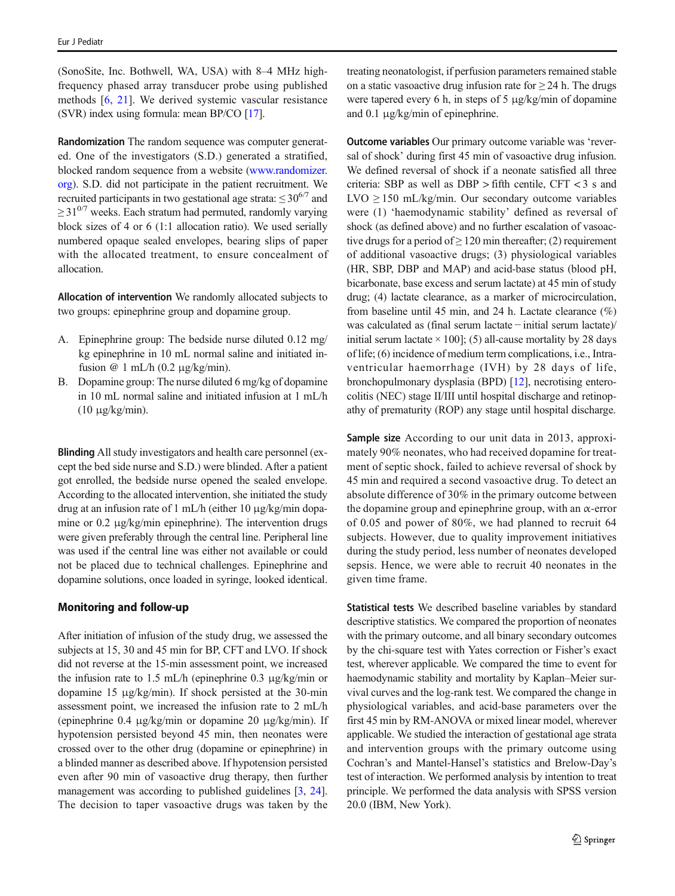(SonoSite, Inc. Bothwell, WA, USA) with 8–4 MHz highfrequency phased array transducer probe using published methods [[6](#page-7-0), [21\]](#page-7-0). We derived systemic vascular resistance (SVR) index using formula: mean BP/CO [[17\]](#page-7-0).

Randomization The random sequence was computer generated. One of the investigators (S.D.) generated a stratified, blocked random sequence from a website [\(www.randomizer.](http://www.randomizer.org) [org\)](http://www.randomizer.org). S.D. did not participate in the patient recruitment. We recruited participants in two gestational age strata:  $\leq 30^{6/7}$  and  $\geq$  31<sup>0/7</sup> weeks. Each stratum had permuted, randomly varying block sizes of 4 or 6 (1:1 allocation ratio). We used serially numbered opaque sealed envelopes, bearing slips of paper with the allocated treatment, to ensure concealment of allocation.

Allocation of intervention We randomly allocated subjects to two groups: epinephrine group and dopamine group.

- A. Epinephrine group: The bedside nurse diluted 0.12 mg/ kg epinephrine in 10 mL normal saline and initiated infusion  $\omega$  1 mL/h (0.2 μg/kg/min).
- B. Dopamine group: The nurse diluted 6 mg/kg of dopamine in 10 mL normal saline and initiated infusion at 1 mL/h (10 μg/kg/min).

Blinding All study investigators and health care personnel (except the bed side nurse and S.D.) were blinded. After a patient got enrolled, the bedside nurse opened the sealed envelope. According to the allocated intervention, she initiated the study drug at an infusion rate of 1 mL/h (either 10 μg/kg/min dopamine or 0.2 μg/kg/min epinephrine). The intervention drugs were given preferably through the central line. Peripheral line was used if the central line was either not available or could not be placed due to technical challenges. Epinephrine and dopamine solutions, once loaded in syringe, looked identical.

### Monitoring and follow-up

After initiation of infusion of the study drug, we assessed the subjects at 15, 30 and 45 min for BP, CFT and LVO. If shock did not reverse at the 15-min assessment point, we increased the infusion rate to 1.5 mL/h (epinephrine 0.3 μg/kg/min or dopamine 15 μg/kg/min). If shock persisted at the 30-min assessment point, we increased the infusion rate to 2 mL/h (epinephrine 0.4 μg/kg/min or dopamine 20 μg/kg/min). If hypotension persisted beyond 45 min, then neonates were crossed over to the other drug (dopamine or epinephrine) in a blinded manner as described above. If hypotension persisted even after 90 min of vasoactive drug therapy, then further management was according to published guidelines [[3,](#page-7-0) [24\]](#page-7-0). The decision to taper vasoactive drugs was taken by the

treating neonatologist, if perfusion parameters remained stable on a static vasoactive drug infusion rate for  $\geq$  24 h. The drugs were tapered every 6 h, in steps of 5 μg/kg/min of dopamine and 0.1 μg/kg/min of epinephrine.

Outcome variables Our primary outcome variable was 'reversal of shock' during first 45 min of vasoactive drug infusion. We defined reversal of shock if a neonate satisfied all three criteria: SBP as well as DBP > fifth centile, CFT < 3 s and LVO  $\geq$  150 mL/kg/min. Our secondary outcome variables were (1) 'haemodynamic stability' defined as reversal of shock (as defined above) and no further escalation of vasoactive drugs for a period of  $\geq 120$  min thereafter; (2) requirement of additional vasoactive drugs; (3) physiological variables (HR, SBP, DBP and MAP) and acid-base status (blood pH, bicarbonate, base excess and serum lactate) at 45 min of study drug; (4) lactate clearance, as a marker of microcirculation, from baseline until 45 min, and 24 h. Lactate clearance (%) was calculated as (final serum lactate − initial serum lactate)/ initial serum lactate  $\times$  100]; (5) all-cause mortality by 28 days of life; (6) incidence of medium term complications, i.e., Intraventricular haemorrhage (IVH) by 28 days of life, bronchopulmonary dysplasia (BPD) [\[12\]](#page-7-0), necrotising enterocolitis (NEC) stage II/III until hospital discharge and retinopathy of prematurity (ROP) any stage until hospital discharge.

Sample size According to our unit data in 2013, approximately 90% neonates, who had received dopamine for treatment of septic shock, failed to achieve reversal of shock by 45 min and required a second vasoactive drug. To detect an absolute difference of 30% in the primary outcome between the dopamine group and epinephrine group, with an  $\alpha$ -error of 0.05 and power of 80%, we had planned to recruit 64 subjects. However, due to quality improvement initiatives during the study period, less number of neonates developed sepsis. Hence, we were able to recruit 40 neonates in the given time frame.

Statistical tests We described baseline variables by standard descriptive statistics. We compared the proportion of neonates with the primary outcome, and all binary secondary outcomes by the chi-square test with Yates correction or Fisher's exact test, wherever applicable. We compared the time to event for haemodynamic stability and mortality by Kaplan–Meier survival curves and the log-rank test. We compared the change in physiological variables, and acid-base parameters over the first 45 min by RM-ANOVA or mixed linear model, wherever applicable. We studied the interaction of gestational age strata and intervention groups with the primary outcome using Cochran's and Mantel-Hansel's statistics and Brelow-Day's test of interaction. We performed analysis by intention to treat principle. We performed the data analysis with SPSS version 20.0 (IBM, New York).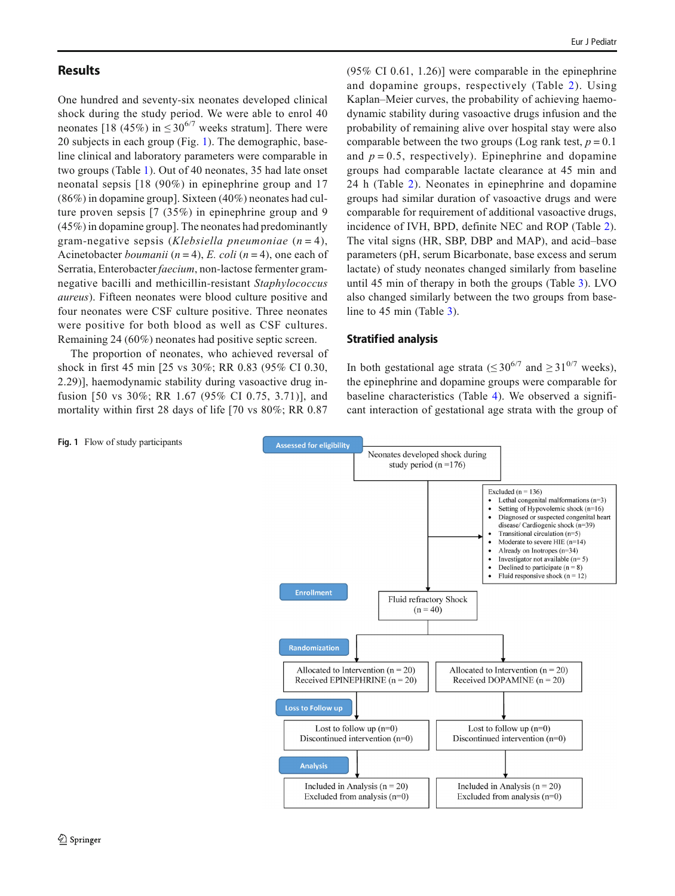## **Results**

One hundred and seventy-six neonates developed clinical shock during the study period. We were able to enrol 40 neonates [18 (45%) in  $\leq 30^{6/7}$  weeks stratum]. There were 20 subjects in each group (Fig. 1). The demographic, baseline clinical and laboratory parameters were comparable in two groups (Table [1\)](#page-4-0). Out of 40 neonates, 35 had late onset neonatal sepsis [18 (90%) in epinephrine group and 17 (86%) in dopamine group]. Sixteen (40%) neonates had culture proven sepsis [7 (35%) in epinephrine group and 9 (45%) in dopamine group]. The neonates had predominantly gram-negative sepsis (Klebsiella pneumoniae  $(n = 4)$ , Acinetobacter *boumanii* ( $n = 4$ ), E. coli ( $n = 4$ ), one each of Serratia, Enterobacter faecium, non-lactose fermenter gramnegative bacilli and methicillin-resistant Staphylococcus aureus). Fifteen neonates were blood culture positive and four neonates were CSF culture positive. Three neonates were positive for both blood as well as CSF cultures. Remaining 24 (60%) neonates had positive septic screen.

The proportion of neonates, who achieved reversal of shock in first 45 min [25 vs 30%; RR 0.83 (95% CI 0.30, 2.29)], haemodynamic stability during vasoactive drug infusion [50 vs 30%; RR 1.67 (95% CI 0.75, 3.71)], and mortality within first 28 days of life [70 vs 80%; RR 0.87

 $(95\% \text{ CI } 0.61, 1.26)$ ] were comparable in the epinephrine and dopamine groups, respectively (Table [2](#page-4-0)). Using Kaplan–Meier curves, the probability of achieving haemodynamic stability during vasoactive drugs infusion and the probability of remaining alive over hospital stay were also comparable between the two groups (Log rank test,  $p = 0.1$ ) and  $p = 0.5$ , respectively). Epinephrine and dopamine groups had comparable lactate clearance at 45 min and 24 h (Table [2\)](#page-4-0). Neonates in epinephrine and dopamine groups had similar duration of vasoactive drugs and were comparable for requirement of additional vasoactive drugs, incidence of IVH, BPD, definite NEC and ROP (Table [2](#page-4-0)). The vital signs (HR, SBP, DBP and MAP), and acid–base parameters (pH, serum Bicarbonate, base excess and serum lactate) of study neonates changed similarly from baseline until 45 min of therapy in both the groups (Table [3\)](#page-5-0). LVO also changed similarly between the two groups from baseline to 45 min (Table [3\)](#page-5-0).

## Stratified analysis

In both gestational age strata ( $\leq 30^{6/7}$  and  $\geq 31^{0/7}$  weeks). the epinephrine and dopamine groups were comparable for baseline characteristics (Table [4\)](#page-5-0). We observed a significant interaction of gestational age strata with the group of



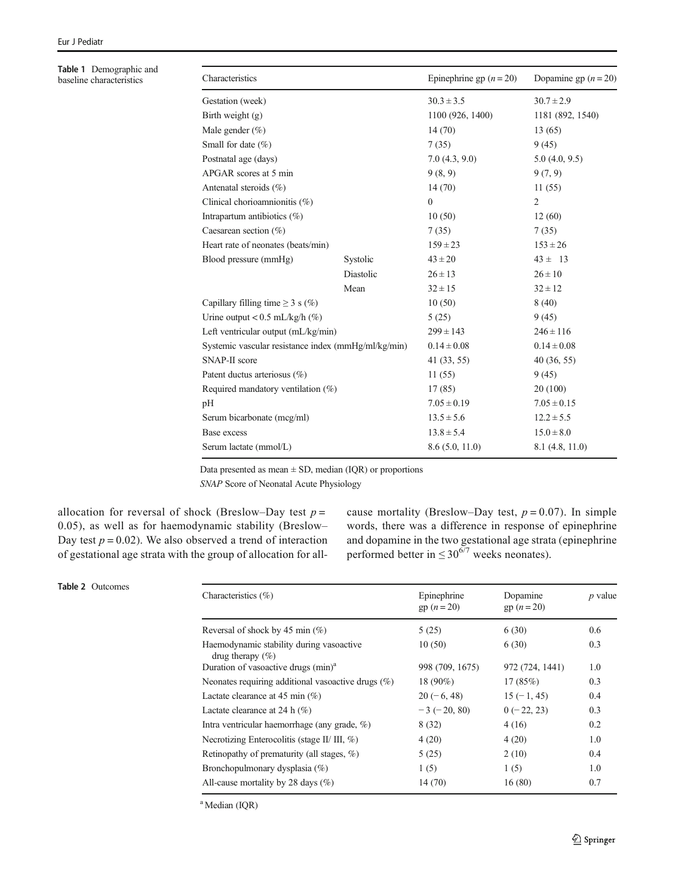<span id="page-4-0"></span>Table 1 Demographic and baseline characteristics

| Characteristics                                     |           | Epinephrine gp $(n = 20)$        | Dopamine gp $(n = 20)$ |  |
|-----------------------------------------------------|-----------|----------------------------------|------------------------|--|
| Gestation (week)                                    |           | $30.3 \pm 3.5$                   | $30.7 \pm 2.9$         |  |
| Birth weight $(g)$                                  |           | 1100 (926, 1400)                 | 1181 (892, 1540)       |  |
| Male gender $(\% )$                                 |           | 14(70)                           | 13(65)                 |  |
| Small for date $(\%)$                               |           | 7(35)                            | 9(45)                  |  |
| Postnatal age (days)                                |           | 7.0(4.3, 9.0)                    | 5.0(4.0, 9.5)          |  |
| APGAR scores at 5 min                               |           | 9(8, 9)                          | 9(7, 9)                |  |
| Antenatal steroids (%)                              |           | 14(70)                           | 11(55)                 |  |
| Clinical chorioamnionitis (%)                       |           | $\mathbf{0}$                     | $\overline{2}$         |  |
| Intrapartum antibiotics $(\%)$                      |           | 10(50)                           | 12(60)                 |  |
| Caesarean section $(\%)$                            |           | 7(35)                            | 7(35)                  |  |
| Heart rate of neonates (beats/min)                  |           | $159 \pm 23$                     | $153 \pm 26$           |  |
| Blood pressure (mmHg)                               | Systolic  | $43 \pm 20$                      | $43 \pm 13$            |  |
|                                                     | Diastolic | $26 \pm 13$                      | $26 \pm 10$            |  |
|                                                     | Mean      | $32 \pm 15$                      | $32 \pm 12$            |  |
| Capillary filling time $\geq 3$ s (%)               |           | 10(50)                           | 8(40)                  |  |
| Urine output < $0.5$ mL/kg/h (%)                    |           | 5(25)                            | 9(45)                  |  |
| Left ventricular output (mL/kg/min)                 |           | $299 \pm 143$                    | $246 \pm 116$          |  |
| Systemic vascular resistance index (mmHg/ml/kg/min) |           | $0.14 \pm 0.08$                  | $0.14 \pm 0.08$        |  |
| SNAP-II score                                       |           | 41 (33, 55)                      | 40(36, 55)             |  |
| Patent ductus arteriosus (%)                        |           | 11(55)                           | 9(45)                  |  |
| Required mandatory ventilation $(\%)$               |           | 17(85)                           | 20(100)                |  |
| pH                                                  |           | $7.05 \pm 0.19$                  | $7.05 \pm 0.15$        |  |
| Serum bicarbonate (mcg/ml)                          |           | $13.5 \pm 5.6$                   | $12.2 \pm 5.5$         |  |
| Base excess                                         |           | $13.8 \pm 5.4$                   | $15.0 \pm 8.0$         |  |
| Serum lactate (mmol/L)                              |           | 8.6(5.0, 11.0)<br>8.1(4.8, 11.0) |                        |  |
|                                                     |           |                                  |                        |  |

Data presented as mean  $\pm$  SD, median (IQR) or proportions

SNAP Score of Neonatal Acute Physiology

allocation for reversal of shock (Breslow–Day test  $p =$ 0.05), as well as for haemodynamic stability (Breslow– Day test  $p = 0.02$ ). We also observed a trend of interaction of gestational age strata with the group of allocation for allcause mortality (Breslow–Day test,  $p = 0.07$ ). In simple words, there was a difference in response of epinephrine and dopamine in the two gestational age strata (epinephrine performed better in  $\leq 30^{6/7}$  weeks neonates).

## Table 2 Outcomes

| Characteristics $(\% )$                                          | Epinephrine<br>$gp (n = 20)$ | Dopamine<br>$gp (n = 20)$ | $p$ value |
|------------------------------------------------------------------|------------------------------|---------------------------|-----------|
| Reversal of shock by 45 min $(\%)$                               | 5(25)                        | 6(30)                     | 0.6       |
| Haemodynamic stability during vasoactive<br>drug therapy $(\% )$ | 10(50)                       | 6(30)                     | 0.3       |
| Duration of vasoactive drugs (min) <sup>a</sup>                  | 998 (709, 1675)              | 972 (724, 1441)           | 1.0       |
| Neonates requiring additional vasoactive drugs (%)               | $18(90\%)$                   | 17(85%)                   | 0.3       |
| Lactate clearance at 45 min $(\%)$                               | $20(-6, 48)$                 | $15(-1, 45)$              | 0.4       |
| Lactate clearance at 24 h $(\%)$                                 | $-3(-20, 80)$                | $0(-22, 23)$              | 0.3       |
| Intra ventricular haemorrhage (any grade, $\%$ )                 | 8(32)                        | 4(16)                     | 0.2       |
| Necrotizing Enterocolitis (stage II/ III, %)                     | 4(20)                        | 4(20)                     | 1.0       |
| Retinopathy of prematurity (all stages, $\%$ )                   | 5(25)                        | 2(10)                     | 0.4       |
| Bronchopulmonary dysplasia (%)                                   | 1(5)                         | 1(5)                      | 1.0       |
| All-cause mortality by 28 days $(\%)$                            | 14(70)                       | 16(80)                    | 0.7       |

<sup>a</sup> Median (IQR)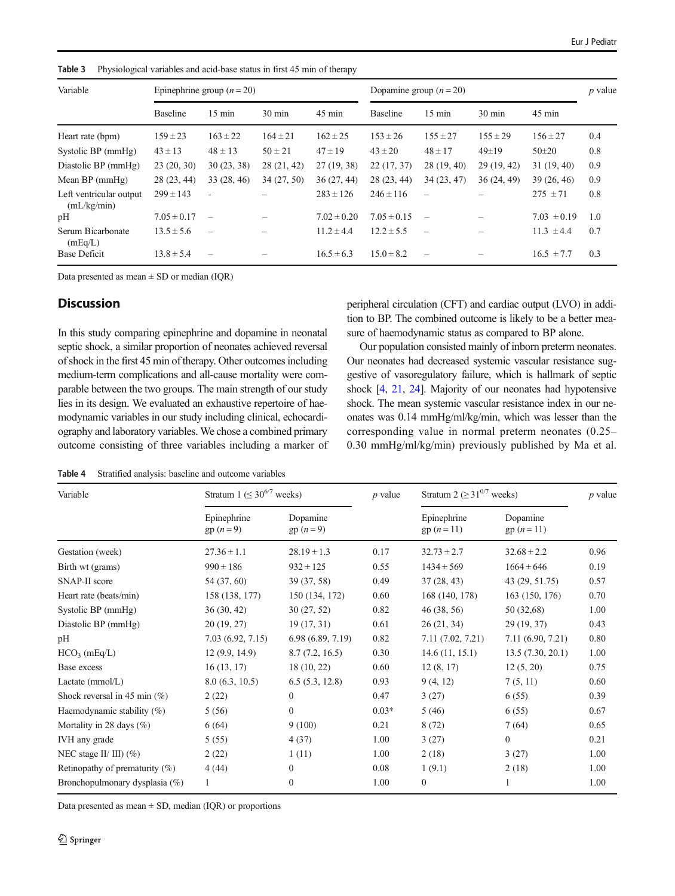| Variable                               | Epinephrine group $(n=20)$ |                          |                  |                  | Dopamine group $(n = 20)$ |                          |                  |                  | $p$ value |
|----------------------------------------|----------------------------|--------------------------|------------------|------------------|---------------------------|--------------------------|------------------|------------------|-----------|
|                                        | <b>Baseline</b>            | $15 \text{ min}$         | $30 \text{ min}$ | $45 \text{ min}$ | <b>Baseline</b>           | $15 \text{ min}$         | $30 \text{ min}$ | $45 \text{ min}$ |           |
| Heart rate (bpm)                       | $159 \pm 23$               | $163 \pm 22$             | $164 \pm 21$     | $162 \pm 25$     | $153 \pm 26$              | $155 \pm 27$             | $155 \pm 29$     | $156 \pm 27$     | 0.4       |
| Systolic BP (mmHg)                     | $43 \pm 13$                | $48 \pm 13$              | $50 \pm 21$      | $47 \pm 19$      | $43 \pm 20$               | $48 \pm 17$              | $49 \pm 19$      | $50 \pm 20$      | 0.8       |
| Diastolic BP (mmHg)                    | 23(20, 30)                 | 30(23, 38)               | 28 (21, 42)      | 27(19, 38)       | 22(17, 37)                | 28(19, 40)               | 29(19, 42)       | 31(19, 40)       | 0.9       |
| Mean $BP$ (mmHg)                       | 28 (23, 44)                | 33 (28, 46)              | 34(27, 50)       | 36(27, 44)       | 28 (23, 44)               | 34(23, 47)               | 36(24, 49)       | 39(26, 46)       | 0.9       |
| Left ventricular output<br>(mL/kg/min) | $299 \pm 143$              | ٠                        |                  | $283 \pm 126$    | $246 \pm 116$             | $\equiv$                 |                  | $275 \pm 71$     | 0.8       |
| pH                                     | $7.05 \pm 0.17$            | $\overline{\phantom{0}}$ |                  | $7.02 \pm 0.20$  | $7.05 \pm 0.15$           | $\equiv$                 |                  | $7.03 \pm 0.19$  | 1.0       |
| Serum Bicarbonate<br>(mEq/L)           | $13.5 \pm 5.6$             | $\overline{\phantom{0}}$ |                  | $11.2 \pm 4.4$   | $12.2 \pm 5.5$            | $\overline{\phantom{0}}$ | -                | $11.3 \pm 4.4$   | 0.7       |
| <b>Base Deficit</b>                    | $13.8 \pm 5.4$             | $\overline{\phantom{0}}$ |                  | $16.5 \pm 6.3$   | $15.0 \pm 8.2$            | $\overline{\phantom{0}}$ |                  | $16.5 \pm 7.7$   | 0.3       |

<span id="page-5-0"></span>Table 3 Physiological variables and acid-base status in first 45 min of therapy

Data presented as mean  $\pm$  SD or median (IQR)

## **Discussion**

In this study comparing epinephrine and dopamine in neonatal septic shock, a similar proportion of neonates achieved reversal of shock in the first 45 min of therapy. Other outcomes including medium-term complications and all-cause mortality were comparable between the two groups. The main strength of our study lies in its design. We evaluated an exhaustive repertoire of haemodynamic variables in our study including clinical, echocardiography and laboratory variables. We chose a combined primary outcome consisting of three variables including a marker of

peripheral circulation (CFT) and cardiac output (LVO) in addition to BP. The combined outcome is likely to be a better measure of haemodynamic status as compared to BP alone.

Our population consisted mainly of inborn preterm neonates. Our neonates had decreased systemic vascular resistance suggestive of vasoregulatory failure, which is hallmark of septic shock [\[4,](#page-7-0) [21](#page-7-0), [24\]](#page-7-0). Majority of our neonates had hypotensive shock. The mean systemic vascular resistance index in our neonates was 0.14 mmHg/ml/kg/min, which was lesser than the corresponding value in normal preterm neonates (0.25– 0.30 mmHg/ml/kg/min) previously published by Ma et al.

Table 4 Stratified analysis: baseline and outcome variables

| Variable                          | Stratum 1 ( $\leq 30^{6/7}$ weeks) |                          | $p$ value | Stratum 2 ( $\geq 31^{0/7}$ weeks) |                           | $p$ value |  |
|-----------------------------------|------------------------------------|--------------------------|-----------|------------------------------------|---------------------------|-----------|--|
|                                   | Epinephrine<br>$gp (n = 9)$        | Dopamine<br>$gp (n = 9)$ |           | Epinephrine<br>$gp (n = 11)$       | Dopamine<br>$gp (n = 11)$ |           |  |
| Gestation (week)                  | $27.36 \pm 1.1$                    | $28.19 \pm 1.3$          | 0.17      | $32.73 \pm 2.7$                    | $32.68 \pm 2.2$           | 0.96      |  |
| Birth wt (grams)                  | $990 \pm 186$                      | $932 \pm 125$            | 0.55      | $1434 \pm 569$                     | $1664 \pm 646$            | 0.19      |  |
| SNAP-II score                     | 54 (37, 60)                        | 39 (37, 58)              | 0.49      | 37(28, 43)                         | 43 (29, 51.75)            | 0.57      |  |
| Heart rate (beats/min)            | 158 (138, 177)                     | 150 (134, 172)           | 0.60      | 168 (140, 178)                     | 163 (150, 176)            | 0.70      |  |
| Systolic BP (mmHg)                | 36(30, 42)                         | 30(27, 52)               | 0.82      | 46 (38, 56)                        | 50 (32,68)                | 1.00      |  |
| Diastolic BP (mmHg)               | 20(19, 27)                         | 19(17, 31)               | 0.61      | 26(21, 34)                         | 29(19, 37)                | 0.43      |  |
| pН                                | 7.03(6.92, 7.15)                   | 6.98(6.89, 7.19)         | 0.82      | 7.11(7.02, 7.21)                   | 7.11 (6.90, 7.21)         | 0.80      |  |
| $HCO3$ (mEq/L)                    | 12(9.9, 14.9)                      | 8.7(7.2, 16.5)           | 0.30      | 14.6(11, 15.1)                     | 13.5(7.30, 20.1)          | 1.00      |  |
| Base excess                       | 16(13, 17)                         | 18(10, 22)               | 0.60      | 12(8, 17)                          | 12(5, 20)                 | 0.75      |  |
| Lactate $(mmol/L)$                | 8.0(6.3, 10.5)                     | 6.5(5.3, 12.8)           | 0.93      | 9(4, 12)                           | 7(5, 11)                  | 0.60      |  |
| Shock reversal in 45 min $(\%)$   | 2(22)                              | $\overline{0}$           | 0.47      | 3(27)                              | 6(55)                     | 0.39      |  |
| Haemodynamic stability (%)        | 5(56)                              | $\mathbf{0}$             | $0.03*$   | 5(46)                              | 6(55)                     | 0.67      |  |
| Mortality in 28 days $(\%)$       | 6(64)                              | 9(100)                   | 0.21      | 8(72)                              | 7(64)                     | 0.65      |  |
| IVH any grade                     | 5(55)                              | 4(37)                    | 1.00      | 3(27)                              | $\mathbf{0}$              | 0.21      |  |
| NEC stage II/ III) $(\% )$        | 2(22)                              | 1(11)                    | 1.00      | 2(18)                              | 3(27)                     | 1.00      |  |
| Retinopathy of prematurity $(\%)$ | 4(44)                              | $\Omega$                 | 0.08      | 1(9.1)                             | 2(18)                     | 1.00      |  |
| Bronchopulmonary dysplasia (%)    | 1                                  | $\mathbf{0}$             | 1.00      | $\theta$                           |                           | 1.00      |  |

Data presented as mean  $\pm$  SD, median (IQR) or proportions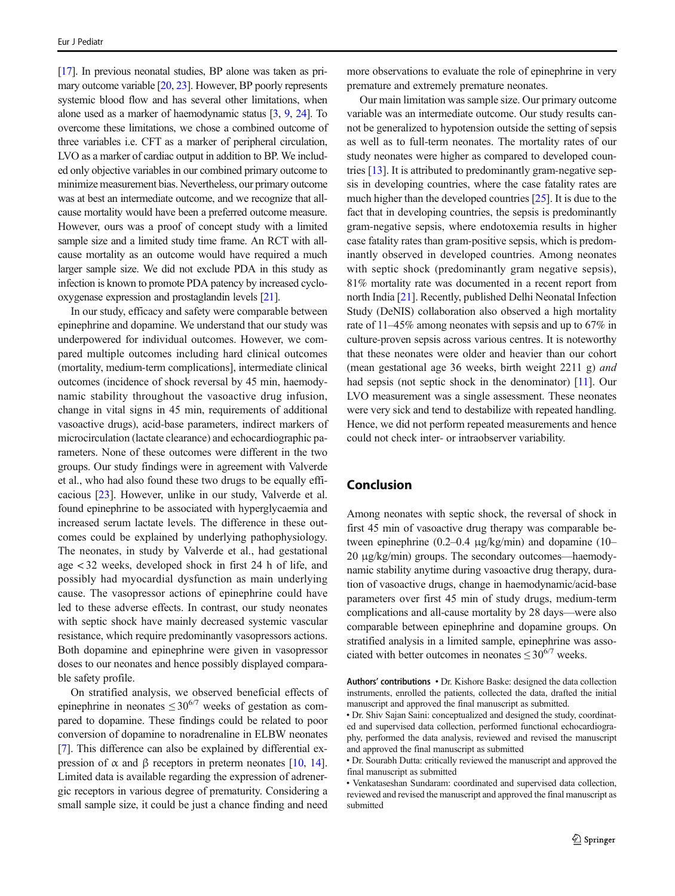[\[17](#page-7-0)]. In previous neonatal studies, BP alone was taken as primary outcome variable [[20](#page-7-0), [23](#page-7-0)]. However, BP poorly represents systemic blood flow and has several other limitations, when alone used as a marker of haemodynamic status [\[3,](#page-7-0) [9,](#page-7-0) [24\]](#page-7-0). To overcome these limitations, we chose a combined outcome of three variables i.e. CFT as a marker of peripheral circulation, LVO as a marker of cardiac output in addition to BP. We included only objective variables in our combined primary outcome to minimize measurement bias. Nevertheless, our primary outcome was at best an intermediate outcome, and we recognize that allcause mortality would have been a preferred outcome measure. However, ours was a proof of concept study with a limited sample size and a limited study time frame. An RCT with allcause mortality as an outcome would have required a much larger sample size. We did not exclude PDA in this study as infection is known to promote PDA patency by increased cyclooxygenase expression and prostaglandin levels [[21](#page-7-0)].

In our study, efficacy and safety were comparable between epinephrine and dopamine. We understand that our study was underpowered for individual outcomes. However, we compared multiple outcomes including hard clinical outcomes (mortality, medium-term complications], intermediate clinical outcomes (incidence of shock reversal by 45 min, haemodynamic stability throughout the vasoactive drug infusion, change in vital signs in 45 min, requirements of additional vasoactive drugs), acid-base parameters, indirect markers of microcirculation (lactate clearance) and echocardiographic parameters. None of these outcomes were different in the two groups. Our study findings were in agreement with Valverde et al., who had also found these two drugs to be equally efficacious [\[23\]](#page-7-0). However, unlike in our study, Valverde et al. found epinephrine to be associated with hyperglycaemia and increased serum lactate levels. The difference in these outcomes could be explained by underlying pathophysiology. The neonates, in study by Valverde et al., had gestational age < 32 weeks, developed shock in first 24 h of life, and possibly had myocardial dysfunction as main underlying cause. The vasopressor actions of epinephrine could have led to these adverse effects. In contrast, our study neonates with septic shock have mainly decreased systemic vascular resistance, which require predominantly vasopressors actions. Both dopamine and epinephrine were given in vasopressor doses to our neonates and hence possibly displayed comparable safety profile.

On stratified analysis, we observed beneficial effects of epinephrine in neonates  $\leq 30^{6/7}$  weeks of gestation as compared to dopamine. These findings could be related to poor conversion of dopamine to noradrenaline in ELBW neonates [\[7](#page-7-0)]. This difference can also be explained by differential ex-pression of α and β receptors in preterm neonates [\[10,](#page-7-0) [14\]](#page-7-0). Limited data is available regarding the expression of adrenergic receptors in various degree of prematurity. Considering a small sample size, it could be just a chance finding and need

more observations to evaluate the role of epinephrine in very premature and extremely premature neonates.

Our main limitation was sample size. Our primary outcome variable was an intermediate outcome. Our study results cannot be generalized to hypotension outside the setting of sepsis as well as to full-term neonates. The mortality rates of our study neonates were higher as compared to developed countries [\[13\]](#page-7-0). It is attributed to predominantly gram-negative sepsis in developing countries, where the case fatality rates are much higher than the developed countries [\[25](#page-7-0)]. It is due to the fact that in developing countries, the sepsis is predominantly gram-negative sepsis, where endotoxemia results in higher case fatality rates than gram-positive sepsis, which is predominantly observed in developed countries. Among neonates with septic shock (predominantly gram negative sepsis), 81% mortality rate was documented in a recent report from north India [[21](#page-7-0)]. Recently, published Delhi Neonatal Infection Study (DeNIS) collaboration also observed a high mortality rate of 11–45% among neonates with sepsis and up to 67% in culture-proven sepsis across various centres. It is noteworthy that these neonates were older and heavier than our cohort (mean gestational age 36 weeks, birth weight 2211 g) and had sepsis (not septic shock in the denominator) [\[11\]](#page-7-0). Our LVO measurement was a single assessment. These neonates were very sick and tend to destabilize with repeated handling. Hence, we did not perform repeated measurements and hence could not check inter- or intraobserver variability.

# Conclusion

Among neonates with septic shock, the reversal of shock in first 45 min of vasoactive drug therapy was comparable between epinephrine (0.2–0.4 μg/kg/min) and dopamine (10– 20 μg/kg/min) groups. The secondary outcomes—haemodynamic stability anytime during vasoactive drug therapy, duration of vasoactive drugs, change in haemodynamic/acid-base parameters over first 45 min of study drugs, medium-term complications and all-cause mortality by 28 days—were also comparable between epinephrine and dopamine groups. On stratified analysis in a limited sample, epinephrine was associated with better outcomes in neonates  $\leq 30^{6/7}$  weeks.

Authors' contributions • Dr. Kishore Baske: designed the data collection instruments, enrolled the patients, collected the data, drafted the initial manuscript and approved the final manuscript as submitted.

<sup>•</sup> Dr. Shiv Sajan Saini: conceptualized and designed the study, coordinated and supervised data collection, performed functional echocardiography, performed the data analysis, reviewed and revised the manuscript and approved the final manuscript as submitted

<sup>•</sup> Dr. Sourabh Dutta: critically reviewed the manuscript and approved the final manuscript as submitted

<sup>•</sup> Venkataseshan Sundaram: coordinated and supervised data collection, reviewed and revised the manuscript and approved the final manuscript as submitted